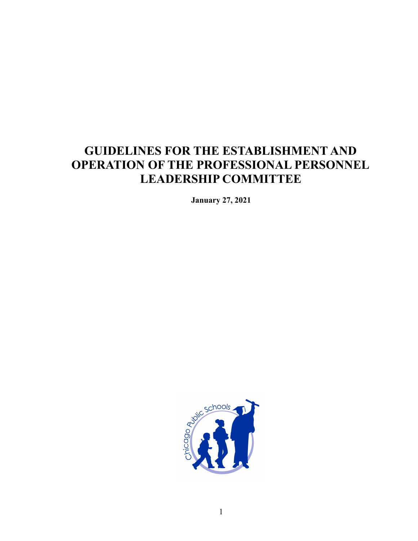# **GUIDELINES FOR THE ESTABLISHMENT AND OPERATION OF THE PROFESSIONAL PERSONNEL LEADERSHIP COMMITTEE**

**January 27, 2021**

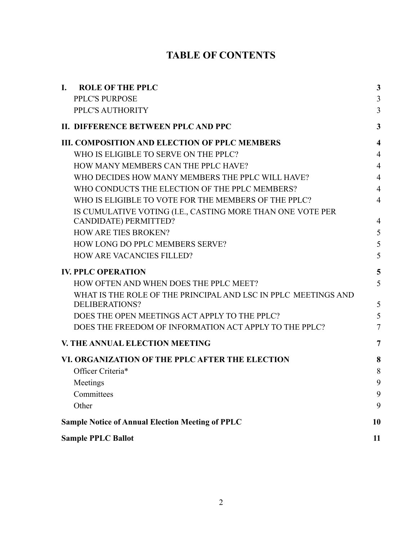# **TABLE OF CONTENTS**

| <b>ROLE OF THE PPLC</b><br>$\mathbf{I}$ .                                        | $\mathbf{3}$            |
|----------------------------------------------------------------------------------|-------------------------|
| PPLC'S PURPOSE                                                                   | 3                       |
| PPLC'S AUTHORITY                                                                 | 3                       |
| II. DIFFERENCE BETWEEN PPLC AND PPC                                              | $\mathbf{3}$            |
| <b>III. COMPOSITION AND ELECTION OF PPLC MEMBERS</b>                             | $\overline{\mathbf{4}}$ |
| WHO IS ELIGIBLE TO SERVE ON THE PPLC?                                            | $\overline{4}$          |
| HOW MANY MEMBERS CAN THE PPLC HAVE?                                              | $\overline{4}$          |
| WHO DECIDES HOW MANY MEMBERS THE PPLC WILL HAVE?                                 | $\overline{4}$          |
| WHO CONDUCTS THE ELECTION OF THE PPLC MEMBERS?                                   | $\overline{4}$          |
| WHO IS ELIGIBLE TO VOTE FOR THE MEMBERS OF THE PPLC?                             | $\overline{4}$          |
| IS CUMULATIVE VOTING (I.E., CASTING MORE THAN ONE VOTE PER                       |                         |
| <b>CANDIDATE) PERMITTED?</b>                                                     | $\overline{4}$          |
| <b>HOW ARE TIES BROKEN?</b>                                                      | 5                       |
| HOW LONG DO PPLC MEMBERS SERVE?                                                  | 5                       |
| <b>HOW ARE VACANCIES FILLED?</b>                                                 | 5                       |
| <b>IV. PPLC OPERATION</b>                                                        | 5                       |
| HOW OFTEN AND WHEN DOES THE PPLC MEET?                                           | 5                       |
| WHAT IS THE ROLE OF THE PRINCIPAL AND LSC IN PPLC MEETINGS AND<br>DELIBERATIONS? | 5                       |
| DOES THE OPEN MEETINGS ACT APPLY TO THE PPLC?                                    | 5                       |
| DOES THE FREEDOM OF INFORMATION ACT APPLY TO THE PPLC?                           | $\overline{7}$          |
| V. THE ANNUAL ELECTION MEETING                                                   | $\overline{7}$          |
| VI. ORGANIZATION OF THE PPLC AFTER THE ELECTION                                  | 8                       |
| Officer Criteria*                                                                | 8                       |
| Meetings                                                                         | 9                       |
| Committees                                                                       | 9                       |
| Other                                                                            | 9                       |
| <b>Sample Notice of Annual Election Meeting of PPLC</b>                          | 10                      |
| <b>Sample PPLC Ballot</b>                                                        | 11                      |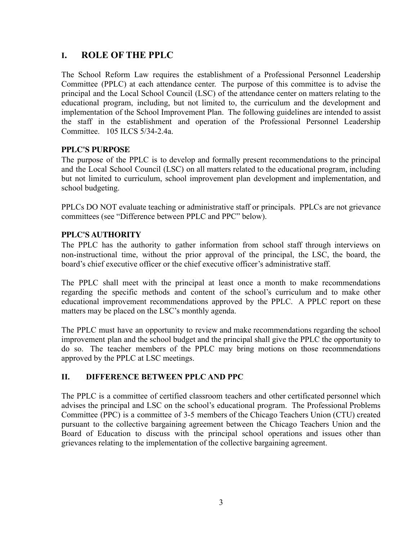## **I. ROLE OF THE PPLC**

The School Reform Law requires the establishment of a Professional Personnel Leadership Committee (PPLC) at each attendance center. The purpose of this committee is to advise the principal and the Local School Council (LSC) of the attendance center on matters relating to the educational program, including, but not limited to, the curriculum and the development and implementation of the School Improvement Plan. The following guidelines are intended to assist the staff in the establishment and operation of the Professional Personnel Leadership Committee. 105 ILCS 5/34-2.4a.

#### **PPLC'S PURPOSE**

The purpose of the PPLC is to develop and formally present recommendations to the principal and the Local School Council (LSC) on all matters related to the educational program, including but not limited to curriculum, school improvement plan development and implementation, and school budgeting.

PPLCs DO NOT evaluate teaching or administrative staff or principals. PPLCs are not grievance committees (see "Difference between PPLC and PPC" below).

#### **PPLC'S AUTHORITY**

The PPLC has the authority to gather information from school staff through interviews on non-instructional time, without the prior approval of the principal, the LSC, the board, the board's chief executive officer or the chief executive officer's administrative staff.

The PPLC shall meet with the principal at least once a month to make recommendations regarding the specific methods and content of the school's curriculum and to make other educational improvement recommendations approved by the PPLC. A PPLC report on these matters may be placed on the LSC's monthly agenda.

The PPLC must have an opportunity to review and make recommendations regarding the school improvement plan and the school budget and the principal shall give the PPLC the opportunity to do so. The teacher members of the PPLC may bring motions on those recommendations approved by the PPLC at LSC meetings.

## **II. DIFFERENCE BETWEEN PPLC AND PPC**

The PPLC is a committee of certified classroom teachers and other certificated personnel which advises the principal and LSC on the school's educational program. The Professional Problems Committee (PPC) is a committee of 3-5 members of the Chicago Teachers Union (CTU) created pursuant to the collective bargaining agreement between the Chicago Teachers Union and the Board of Education to discuss with the principal school operations and issues other than grievances relating to the implementation of the collective bargaining agreement.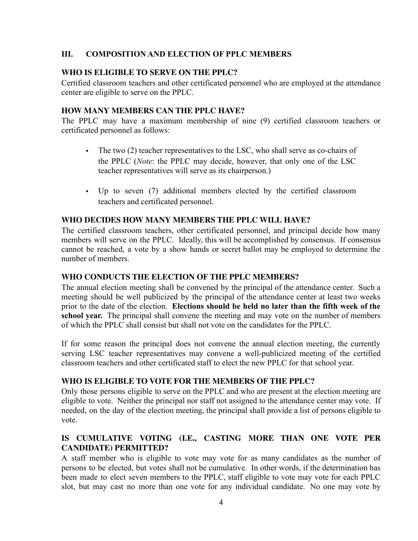## **III. COMPOSITION AND ELECTION OF PPLC MEMBERS**

## **WHO IS ELIGIBLE TO SERVE ON THE PPLC?**

Certified classroom teachers and other certificated personnel who are employed at the attendance center are eligible to serve on the PPLC.

## **HOW MANY MEMBERS CAN THE PPLC HAVE?**

The PPLC may have a maximum membership of nine (9) certified classroom teachers or certificated personnel as follows:

- The two (2) teacher representatives to the LSC, who shall serve as co-chairs of the PPLC (*Note*: the PPLC may decide, however, that only one of the LSC teacher representatives will serve as its chairperson.)
- Up to seven (7) additional members elected by the certified classroom teachers and certificated personnel.

## **WHO DECIDES HOW MANY MEMBERS THE PPLC WILL HAVE?**

The certified classroom teachers, other certificated personnel, and principal decide how many members will serve on the PPLC. Ideally, this will be accomplished by consensus. If consensus cannot be reached, a vote by a show hands or secret ballot may be employed to determine the number of members.

## **WHO CONDUCTS THE ELECTION OF THE PPLC MEMBERS?**

The annual election meeting shall be convened by the principal of the attendance center. Such a meeting should be well publicized by the principal of the attendance center at least two weeks prior to the date of the election. **Elections should be held no later than the fifth week of the school year.** The principal shall convene the meeting and may vote on the number of members of which the PPLC shall consist but shall not vote on the candidates for the PPLC.

If for some reason the principal does not convene the annual election meeting, the currently serving LSC teacher representatives may convene a well-publicized meeting of the certified classroom teachers and other certificated staff to elect the new PPLC for that school year.

## **WHO IS ELIGIBLE TO VOTE FOR THE MEMBERS OF THE PPLC?**

Only those persons eligible to serve on the PPLC and who are present at the election meeting are eligible to vote. Neither the principal nor staff not assigned to the attendance center may vote. If needed, on the day of the election meeting, the principal shall provide a list of persons eligible to vote.

## **IS CUMULATIVE VOTING (I.E., CASTING MORE THAN ONE VOTE PER CANDIDATE) PERMITTED?**

A staff member who is eligible to vote may vote for as many candidates as the number of persons to be elected, but votes shall not be cumulative. In other words, if the determination has been made to elect seven members to the PPLC, staff eligible to vote may vote for each PPLC slot, but may cast no more than one vote for any individual candidate. No one may vote by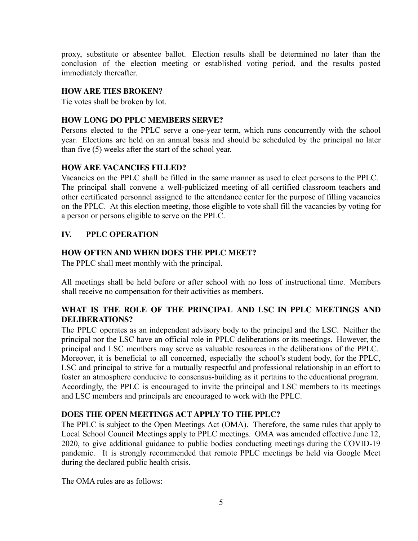proxy, substitute or absentee ballot. Election results shall be determined no later than the conclusion of the election meeting or established voting period, and the results posted immediately thereafter.

## **HOW ARE TIES BROKEN?**

Tie votes shall be broken by lot.

## **HOW LONG DO PPLC MEMBERS SERVE?**

Persons elected to the PPLC serve a one-year term, which runs concurrently with the school year. Elections are held on an annual basis and should be scheduled by the principal no later than five (5) weeks after the start of the school year.

## **HOW ARE VACANCIES FILLED?**

Vacancies on the PPLC shall be filled in the same manner as used to elect persons to the PPLC. The principal shall convene a well-publicized meeting of all certified classroom teachers and other certificated personnel assigned to the attendance center for the purpose of filling vacancies on the PPLC. At this election meeting, those eligible to vote shall fill the vacancies by voting for a person or persons eligible to serve on the PPLC.

## **IV. PPLC OPERATION**

## **HOW OFTEN AND WHEN DOES THE PPLC MEET?**

The PPLC shall meet monthly with the principal.

All meetings shall be held before or after school with no loss of instructional time. Members shall receive no compensation for their activities as members.

## **WHAT IS THE ROLE OF THE PRINCIPAL AND LSC IN PPLC MEETINGS AND DELIBERATIONS?**

The PPLC operates as an independent advisory body to the principal and the LSC. Neither the principal nor the LSC have an official role in PPLC deliberations or its meetings. However, the principal and LSC members may serve as valuable resources in the deliberations of the PPLC. Moreover, it is beneficial to all concerned, especially the school's student body, for the PPLC, LSC and principal to strive for a mutually respectful and professional relationship in an effort to foster an atmosphere conducive to consensus-building as it pertains to the educational program. Accordingly, the PPLC is encouraged to invite the principal and LSC members to its meetings and LSC members and principals are encouraged to work with the PPLC.

## **DOES THE OPEN MEETINGS ACT APPLY TO THE PPLC?**

The PPLC is subject to the Open Meetings Act (OMA). Therefore, the same rules that apply to Local School Council Meetings apply to PPLC meetings. OMA was amended effective June 12, 2020, to give additional guidance to public bodies conducting meetings during the COVID-19 pandemic. It is strongly recommended that remote PPLC meetings be held via Google Meet during the declared public health crisis.

The OMA rules are as follows: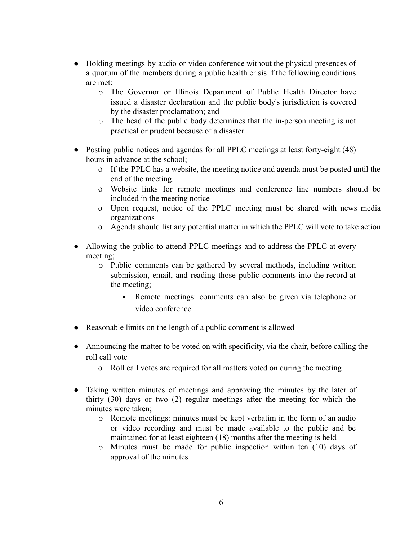- Holding meetings by audio or video conference without the physical presences of a quorum of the members during a public health crisis if the following conditions are met:
	- o The Governor or Illinois Department of Public Health Director have issued a disaster declaration and the public body's jurisdiction is covered by the disaster proclamation; and
	- o The head of the public body determines that the in-person meeting is not practical or prudent because of a disaster
- Posting public notices and agendas for all PPLC meetings at least forty-eight (48) hours in advance at the school;
	- o If the PPLC has a website, the meeting notice and agenda must be posted until the end of the meeting.
	- o Website links for remote meetings and conference line numbers should be included in the meeting notice
	- o Upon request, notice of the PPLC meeting must be shared with news media organizations
	- o Agenda should list any potential matter in which the PPLC will vote to take action
- Allowing the public to attend PPLC meetings and to address the PPLC at every meeting;
	- o Public comments can be gathered by several methods, including written submission, email, and reading those public comments into the record at the meeting;
		- Remote meetings: comments can also be given via telephone or video conference
- Reasonable limits on the length of a public comment is allowed
- Announcing the matter to be voted on with specificity, via the chair, before calling the roll call vote
	- o Roll call votes are required for all matters voted on during the meeting
- Taking written minutes of meetings and approving the minutes by the later of thirty (30) days or two (2) regular meetings after the meeting for which the minutes were taken;
	- o Remote meetings: minutes must be kept verbatim in the form of an audio or video recording and must be made available to the public and be maintained for at least eighteen (18) months after the meeting is held
	- o Minutes must be made for public inspection within ten (10) days of approval of the minutes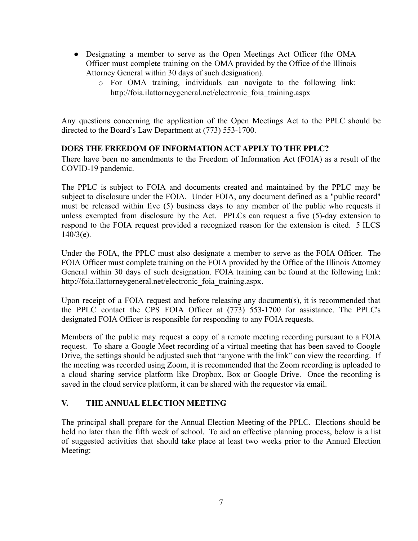- Designating a member to serve as the Open Meetings Act Officer (the OMA Officer must complete training on the OMA provided by the Office of the Illinois Attorney General within 30 days of such designation).
	- o For OMA training, individuals can navigate to the following link: http://foia.ilattorneygeneral.net/electronic foia training.aspx

Any questions concerning the application of the Open Meetings Act to the PPLC should be directed to the Board's Law Department at (773) 553-1700.

## **DOES THE FREEDOM OF INFORMATION ACT APPLY TO THE PPLC?**

There have been no amendments to the Freedom of Information Act (FOIA) as a result of the COVID-19 pandemic.

The PPLC is subject to FOIA and documents created and maintained by the PPLC may be subject to disclosure under the FOIA. Under FOIA, any document defined as a "public record" must be released within five (5) business days to any member of the public who requests it unless exempted from disclosure by the Act. PPLCs can request a five (5)-day extension to respond to the FOIA request provided a recognized reason for the extension is cited. 5 ILCS  $140/3(e)$ .

Under the FOIA, the PPLC must also designate a member to serve as the FOIA Officer. The FOIA Officer must complete training on the FOIA provided by the Office of the Illinois Attorney General within 30 days of such designation. FOIA training can be found at the following link: http://foia.ilattorneygeneral.net/electronic foia training.aspx.

Upon receipt of a FOIA request and before releasing any document(s), it is recommended that the PPLC contact the CPS FOIA Officer at (773) 553-1700 for assistance. The PPLC's designated FOIA Officer is responsible for responding to any FOIA requests.

Members of the public may request a copy of a remote meeting recording pursuant to a FOIA request. To share a Google Meet recording of a virtual meeting that has been saved to Google Drive, the settings should be adjusted such that "anyone with the link" can view the recording. If the meeting was recorded using Zoom, it is recommended that the Zoom recording is uploaded to a cloud sharing service platform like Dropbox, Box or Google Drive. Once the recording is saved in the cloud service platform, it can be shared with the requestor via email.

## **V. THE ANNUAL ELECTION MEETING**

The principal shall prepare for the Annual Election Meeting of the PPLC. Elections should be held no later than the fifth week of school. To aid an effective planning process, below is a list of suggested activities that should take place at least two weeks prior to the Annual Election Meeting: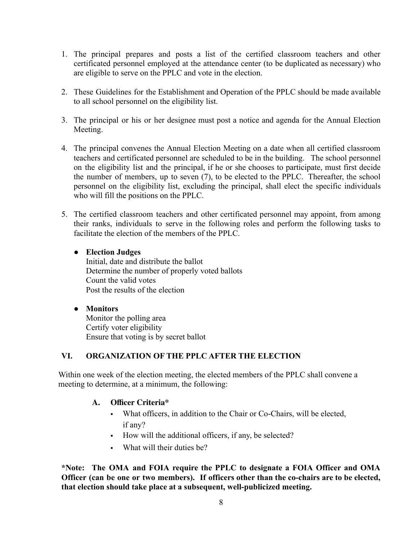- 1. The principal prepares and posts a list of the certified classroom teachers and other certificated personnel employed at the attendance center (to be duplicated as necessary) who are eligible to serve on the PPLC and vote in the election.
- 2. These Guidelines for the Establishment and Operation of the PPLC should be made available to all school personnel on the eligibility list.
- 3. The principal or his or her designee must post a notice and agenda for the Annual Election Meeting.
- 4. The principal convenes the Annual Election Meeting on a date when all certified classroom teachers and certificated personnel are scheduled to be in the building. The school personnel on the eligibility list and the principal, if he or she chooses to participate, must first decide the number of members, up to seven (7), to be elected to the PPLC. Thereafter, the school personnel on the eligibility list, excluding the principal, shall elect the specific individuals who will fill the positions on the PPLC.
- 5. The certified classroom teachers and other certificated personnel may appoint, from among their ranks, individuals to serve in the following roles and perform the following tasks to facilitate the election of the members of the PPLC.
	- **● Election Judges**

Initial, date and distribute the ballot Determine the number of properly voted ballots Count the valid votes Post the results of the election

## **● Monitors**

Monitor the polling area Certify voter eligibility Ensure that voting is by secret ballot

## **VI. ORGANIZATION OF THE PPLC AFTER THE ELECTION**

Within one week of the election meeting, the elected members of the PPLC shall convene a meeting to determine, at a minimum, the following:

#### **A. Officer Criteria\***

- What officers, in addition to the Chair or Co-Chairs, will be elected, if any?
- How will the additional officers, if any, be selected?
- What will their duties be?

**\*Note: The OMA and FOIA require the PPLC to designate a FOIA Officer and OMA Officer (can be one or two members). If officers other than the co-chairs are to be elected, that election should take place at a subsequent, well-publicized meeting.**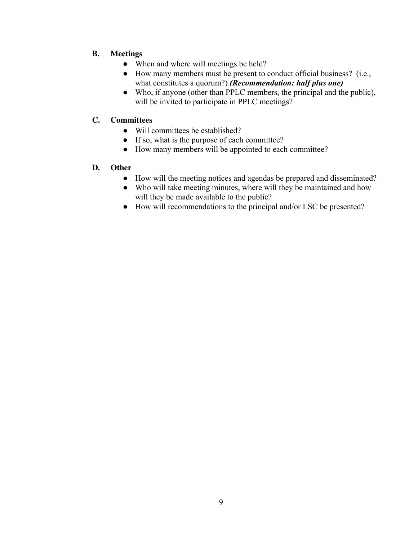## **B. Meetings**

- When and where will meetings be held?
- How many members must be present to conduct official business? (i.e., what constitutes a quorum?) *(Recommendation: half plus one)*
- Who, if anyone (other than PPLC members, the principal and the public), will be invited to participate in PPLC meetings?

## **C. Committees**

- Will committees be established?
- If so, what is the purpose of each committee?
- How many members will be appointed to each committee?

## **D. Other**

- How will the meeting notices and agendas be prepared and disseminated?
- Who will take meeting minutes, where will they be maintained and how will they be made available to the public?
- How will recommendations to the principal and/or LSC be presented?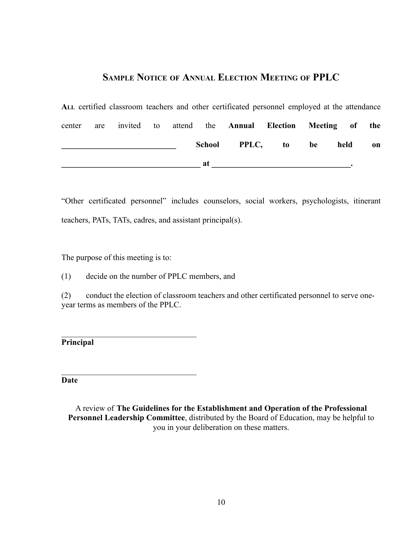## **SAMPLE NOTICE OF ANNUAL ELECTION MEETING OF PPLC**

**ALL** certified classroom teachers and other certificated personnel employed at the attendance center are invited to attend the **Annual Election Meeting of the \_\_\_\_\_\_\_\_\_\_\_\_\_\_\_\_\_\_\_\_\_\_\_\_\_\_\_\_ School PPLC, to be held on**  $\bf{at}$   $\bf{at}$   $\bf{at}$   $\bf{at}$   $\bf{at}$   $\bf{at}$   $\bf{at}$   $\bf{at}$   $\bf{at}$   $\bf{at}$   $\bf{at}$   $\bf{at}$   $\bf{at}$   $\bf{at}$   $\bf{at}$   $\bf{at}$   $\bf{at}$   $\bf{at}$   $\bf{at}$   $\bf{at}$   $\bf{at}$   $\bf{at}$   $\bf{at}$   $\bf{at}$   $\bf{at}$   $\bf{at}$   $\bf{at}$   $\bf{at$ 

"Other certificated personnel" includes counselors, social workers, psychologists, itinerant teachers, PATs, TATs, cadres, and assistant principal(s).

The purpose of this meeting is to:

 $\mathcal{L}_\text{max}$  , where  $\mathcal{L}_\text{max}$  is the set of the set of the set of the set of the set of the set of the set of the set of the set of the set of the set of the set of the set of the set of the set of the set of the se

 $\mathcal{L}_\text{max}$ 

(1) decide on the number of PPLC members, and

(2) conduct the election of classroom teachers and other certificated personnel to serve oneyear terms as members of the PPLC.

**Principal**

**Date**

A review of **The Guidelines for the Establishment and Operation of the Professional Personnel Leadership Committee**, distributed by the Board of Education, may be helpful to you in your deliberation on these matters.